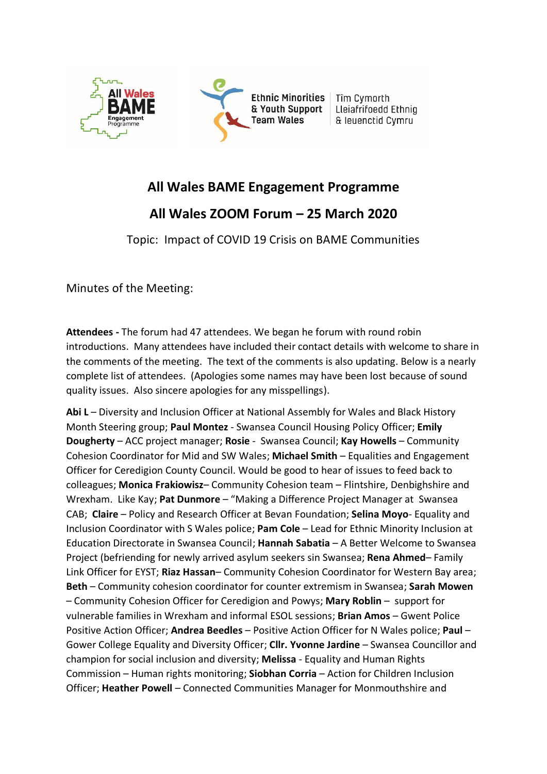

# **All Wales BAME Engagement Programme**

# **All Wales ZOOM Forum – 25 March 2020**

Topic: Impact of COVID 19 Crisis on BAME Communities

Minutes of the Meeting:

**Attendees -** The forum had 47 attendees. We began he forum with round robin introductions. Many attendees have included their contact details with welcome to share in the comments of the meeting. The text of the comments is also updating. Below is a nearly complete list of attendees. (Apologies some names may have been lost because of sound quality issues. Also sincere apologies for any misspellings).

**Abi L** – Diversity and Inclusion Officer at National Assembly for Wales and Black History Month Steering group; **Paul Montez** - Swansea Council Housing Policy Officer; **Emily Dougherty** – ACC project manager; **Rosie** - Swansea Council; **Kay Howells** – Community Cohesion Coordinator for Mid and SW Wales; **Michael Smith** – Equalities and Engagement Officer for Ceredigion County Council. Would be good to hear of issues to feed back to colleagues; **Monica Frakiowisz**– Community Cohesion team – Flintshire, Denbighshire and Wrexham. Like Kay; **Pat Dunmore** – "Making a Difference Project Manager at Swansea CAB; **Claire** – Policy and Research Officer at Bevan Foundation; **Selina Moyo**- Equality and Inclusion Coordinator with S Wales police; **Pam Cole** – Lead for Ethnic Minority Inclusion at Education Directorate in Swansea Council; **Hannah Sabatia** – A Better Welcome to Swansea Project (befriending for newly arrived asylum seekers sin Swansea; **Rena Ahmed**– Family Link Officer for EYST; **Riaz Hassan**– Community Cohesion Coordinator for Western Bay area; **Beth** – Community cohesion coordinator for counter extremism in Swansea; **Sarah Mowen** – Community Cohesion Officer for Ceredigion and Powys; **Mary Roblin** – support for vulnerable families in Wrexham and informal ESOL sessions; **Brian Amos** – Gwent Police Positive Action Officer; **Andrea Beedles** – Positive Action Officer for N Wales police; **Paul** – Gower College Equality and Diversity Officer; **Cllr. Yvonne Jardine** – Swansea Councillor and champion for social inclusion and diversity; **Melissa** - Equality and Human Rights Commission – Human rights monitoring; **Siobhan Corria** – Action for Children Inclusion Officer; **Heather Powell** – Connected Communities Manager for Monmouthshire and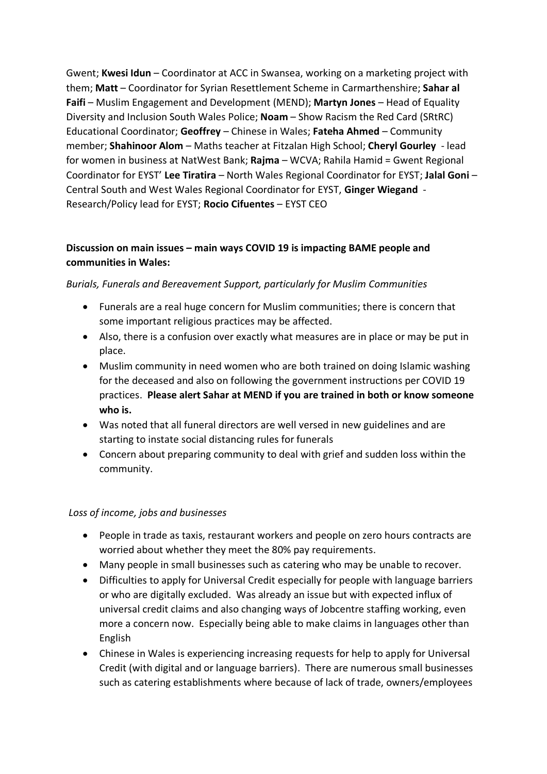Gwent; **Kwesi Idun** – Coordinator at ACC in Swansea, working on a marketing project with them; **Matt** – Coordinator for Syrian Resettlement Scheme in Carmarthenshire; **Sahar al Faifi** – Muslim Engagement and Development (MEND); **Martyn Jones** – Head of Equality Diversity and Inclusion South Wales Police; **Noam** – Show Racism the Red Card (SRtRC) Educational Coordinator; **Geoffrey** – Chinese in Wales; **Fateha Ahmed** – Community member; **Shahinoor Alom** – Maths teacher at Fitzalan High School; **Cheryl Gourley** - lead for women in business at NatWest Bank; **Rajma** – WCVA; Rahila Hamid = Gwent Regional Coordinator for EYST' **Lee Tiratira** – North Wales Regional Coordinator for EYST; **Jalal Goni** – Central South and West Wales Regional Coordinator for EYST, **Ginger Wiegand** - Research/Policy lead for EYST; **Rocio Cifuentes** – EYST CEO

## **Discussion on main issues – main ways COVID 19 is impacting BAME people and communities in Wales:**

#### *Burials, Funerals and Bereavement Support, particularly for Muslim Communities*

- Funerals are a real huge concern for Muslim communities; there is concern that some important religious practices may be affected.
- Also, there is a confusion over exactly what measures are in place or may be put in place.
- Muslim community in need women who are both trained on doing Islamic washing for the deceased and also on following the government instructions per COVID 19 practices. **Please alert Sahar at MEND if you are trained in both or know someone who is.**
- Was noted that all funeral directors are well versed in new guidelines and are starting to instate social distancing rules for funerals
- Concern about preparing community to deal with grief and sudden loss within the community.

#### *Loss of income, jobs and businesses*

- People in trade as taxis, restaurant workers and people on zero hours contracts are worried about whether they meet the 80% pay requirements.
- Many people in small businesses such as catering who may be unable to recover.
- Difficulties to apply for Universal Credit especially for people with language barriers or who are digitally excluded. Was already an issue but with expected influx of universal credit claims and also changing ways of Jobcentre staffing working, even more a concern now. Especially being able to make claims in languages other than English
- Chinese in Wales is experiencing increasing requests for help to apply for Universal Credit (with digital and or language barriers). There are numerous small businesses such as catering establishments where because of lack of trade, owners/employees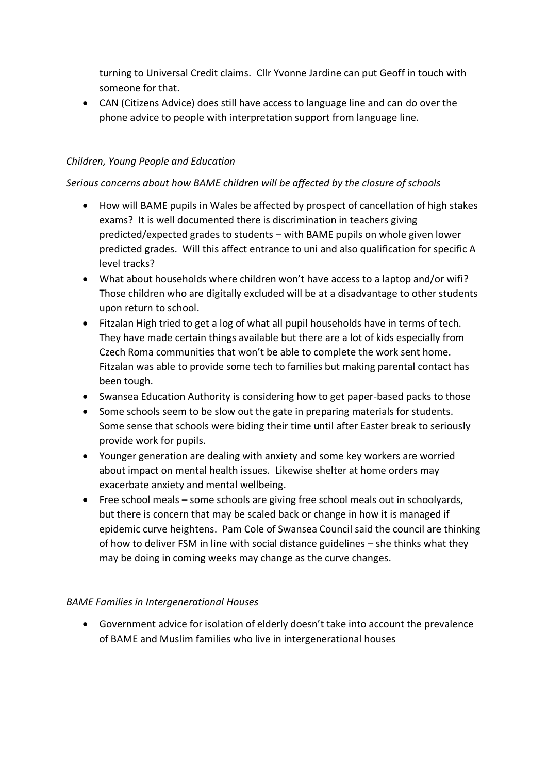turning to Universal Credit claims. Cllr Yvonne Jardine can put Geoff in touch with someone for that.

• CAN (Citizens Advice) does still have access to language line and can do over the phone advice to people with interpretation support from language line.

### *Children, Young People and Education*

#### *Serious concerns about how BAME children will be affected by the closure of schools*

- How will BAME pupils in Wales be affected by prospect of cancellation of high stakes exams? It is well documented there is discrimination in teachers giving predicted/expected grades to students – with BAME pupils on whole given lower predicted grades. Will this affect entrance to uni and also qualification for specific A level tracks?
- What about households where children won't have access to a laptop and/or wifi? Those children who are digitally excluded will be at a disadvantage to other students upon return to school.
- Fitzalan High tried to get a log of what all pupil households have in terms of tech. They have made certain things available but there are a lot of kids especially from Czech Roma communities that won't be able to complete the work sent home. Fitzalan was able to provide some tech to families but making parental contact has been tough.
- Swansea Education Authority is considering how to get paper-based packs to those
- Some schools seem to be slow out the gate in preparing materials for students. Some sense that schools were biding their time until after Easter break to seriously provide work for pupils.
- Younger generation are dealing with anxiety and some key workers are worried about impact on mental health issues. Likewise shelter at home orders may exacerbate anxiety and mental wellbeing.
- Free school meals some schools are giving free school meals out in schoolyards, but there is concern that may be scaled back or change in how it is managed if epidemic curve heightens. Pam Cole of Swansea Council said the council are thinking of how to deliver FSM in line with social distance guidelines – she thinks what they may be doing in coming weeks may change as the curve changes.

#### *BAME Families in Intergenerational Houses*

• Government advice for isolation of elderly doesn't take into account the prevalence of BAME and Muslim families who live in intergenerational houses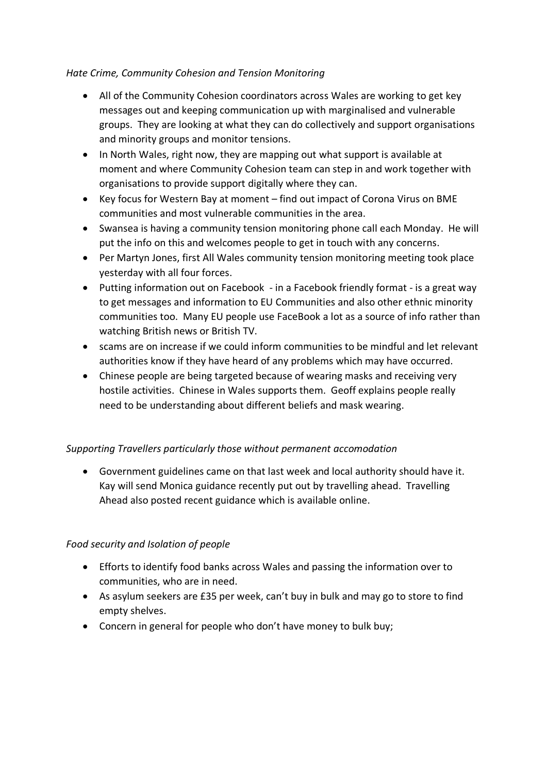#### *Hate Crime, Community Cohesion and Tension Monitoring*

- All of the Community Cohesion coordinators across Wales are working to get key messages out and keeping communication up with marginalised and vulnerable groups. They are looking at what they can do collectively and support organisations and minority groups and monitor tensions.
- In North Wales, right now, they are mapping out what support is available at moment and where Community Cohesion team can step in and work together with organisations to provide support digitally where they can.
- Key focus for Western Bay at moment find out impact of Corona Virus on BME communities and most vulnerable communities in the area.
- Swansea is having a community tension monitoring phone call each Monday. He will put the info on this and welcomes people to get in touch with any concerns.
- Per Martyn Jones, first All Wales community tension monitoring meeting took place yesterday with all four forces.
- Putting information out on Facebook in a Facebook friendly format is a great way to get messages and information to EU Communities and also other ethnic minority communities too. Many EU people use FaceBook a lot as a source of info rather than watching British news or British TV.
- scams are on increase if we could inform communities to be mindful and let relevant authorities know if they have heard of any problems which may have occurred.
- Chinese people are being targeted because of wearing masks and receiving very hostile activities. Chinese in Wales supports them. Geoff explains people really need to be understanding about different beliefs and mask wearing.

#### *Supporting Travellers particularly those without permanent accomodation*

• Government guidelines came on that last week and local authority should have it. Kay will send Monica guidance recently put out by travelling ahead. Travelling Ahead also posted recent guidance which is available online.

#### *Food security and Isolation of people*

- Efforts to identify food banks across Wales and passing the information over to communities, who are in need.
- As asylum seekers are £35 per week, can't buy in bulk and may go to store to find empty shelves.
- Concern in general for people who don't have money to bulk buy;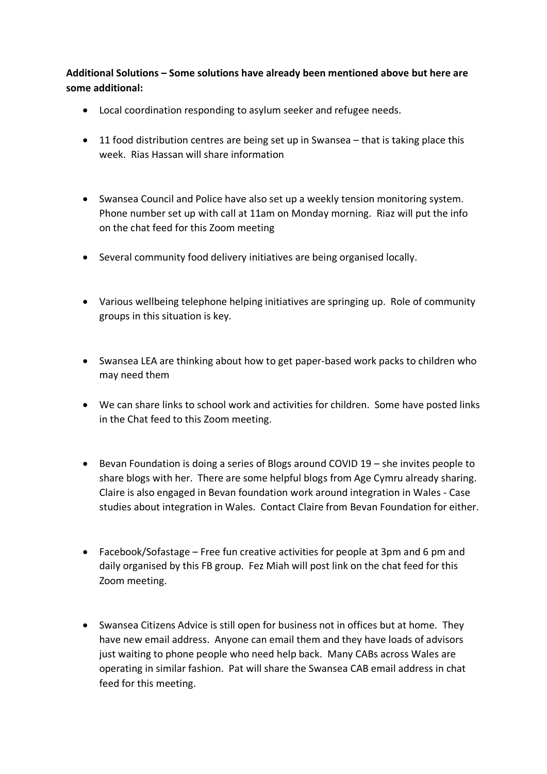**Additional Solutions – Some solutions have already been mentioned above but here are some additional:**

- Local coordination responding to asylum seeker and refugee needs.
- 11 food distribution centres are being set up in Swansea that is taking place this week. Rias Hassan will share information
- Swansea Council and Police have also set up a weekly tension monitoring system. Phone number set up with call at 11am on Monday morning. Riaz will put the info on the chat feed for this Zoom meeting
- Several community food delivery initiatives are being organised locally.
- Various wellbeing telephone helping initiatives are springing up. Role of community groups in this situation is key.
- Swansea LEA are thinking about how to get paper-based work packs to children who may need them
- We can share links to school work and activities for children. Some have posted links in the Chat feed to this Zoom meeting.
- Bevan Foundation is doing a series of Blogs around COVID 19 she invites people to share blogs with her. There are some helpful blogs from Age Cymru already sharing. Claire is also engaged in Bevan foundation work around integration in Wales - Case studies about integration in Wales. Contact Claire from Bevan Foundation for either.
- Facebook/Sofastage Free fun creative activities for people at 3pm and 6 pm and daily organised by this FB group. Fez Miah will post link on the chat feed for this Zoom meeting.
- Swansea Citizens Advice is still open for business not in offices but at home. They have new email address. Anyone can email them and they have loads of advisors just waiting to phone people who need help back. Many CABs across Wales are operating in similar fashion. Pat will share the Swansea CAB email address in chat feed for this meeting.